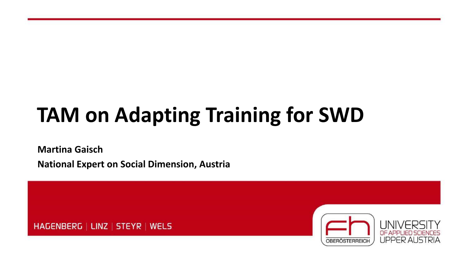# **TAM on Adapting Training for SWD**

**Martina Gaisch National Expert on Social Dimension, Austria**

HAGENBERG | LINZ | STEYR | WELS

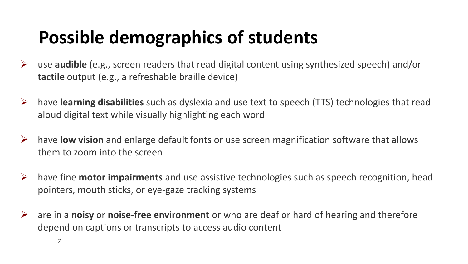## **Possible demographics of students**

- ➢ use **audible** (e.g., screen readers that read digital content using synthesized speech) and/or **tactile** output (e.g., a refreshable braille device)
- ➢ have **learning disabilities** such as dyslexia and use text to speech (TTS) technologies that read aloud digital text while visually highlighting each word
- ➢ have **low vision** and enlarge default fonts or use screen magnification software that allows them to zoom into the screen
- ➢ have fine **motor impairments** and use assistive technologies such as speech recognition, head pointers, mouth sticks, or eye-gaze tracking systems
- ➢ are in a **noisy** or **noise-free environment** or who are deaf or hard of hearing and therefore depend on captions or transcripts to access audio content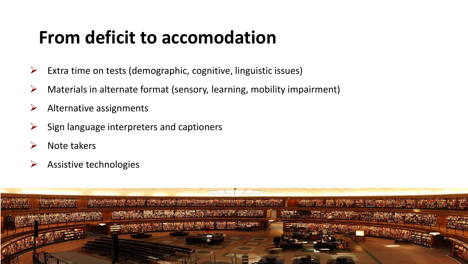#### **From deficit to accomodation**

- $\triangleright$  Extra time on tests (demographic, cognitive, linguistic issues)
- $\triangleright$  Materials in alternate format (sensory, learning, mobility impairment)
- $\triangleright$  Alternative assignments
- Sign language interpreters and captioners
- ➢ Note takers
- ➢ Assistive technologies

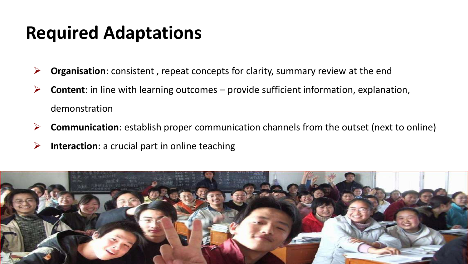#### **Required Adaptations**

- ➢ **Organisation**: consistent , repeat concepts for clarity, summary review at the end
- ➢ **Content**: in line with learning outcomes provide sufficient information, explanation, demonstration
- ➢ **Communication**: establish proper communication channels from the outset (next to online)
- ➢ **Interaction**: a crucial part in online teaching

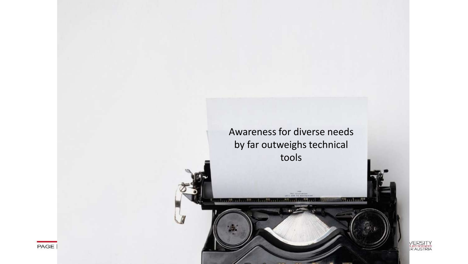

odan i B Serri I  $79111172$ 



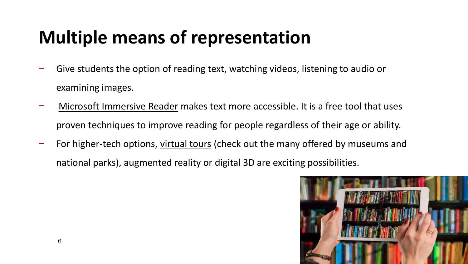## **Multiple means of representation**

- − Give students the option of reading text, watching videos, listening to audio or examining images.
- − [Microsoft Immersive Reader](https://www.onenote.com/learningtools) makes text more accessible. It is a free tool that uses proven techniques to improve reading for people regardless of their age or ability.
- − For higher-tech options, [virtual tours](https://www.washingtonpost.com/travel/2020/03/18/these-historic-sites-attractions-are-offering-virtual-tours-during-coronavirus-pandemic/) (check out the many offered by museums and national parks), augmented reality or digital 3D are exciting possibilities.

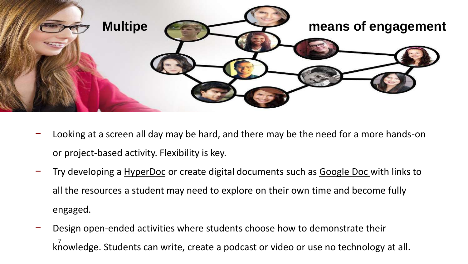

- − Looking at a screen all day may be hard, and there may be the need for a more hands-on or project-based activity. Flexibility is key.
- Try developing a [HyperDoc](https://www.cultofpedagogy.com/hyperdocs/) or create digital documents such as Google Doc with links to all the resources a student may need to explore on their own time and become fully engaged.
- Design open-ended activities where students choose how to demonstrate their knowledge. Students can write, create a podcast or video or use no technology at all.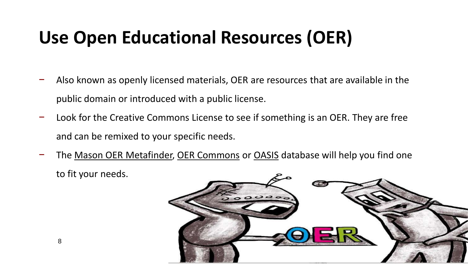## **Use Open Educational Resources (OER)**

- − Also known as openly licensed materials, OER are resources that are available in the public domain or introduced with a public license.
- − Look for the Creative Commons License to see if something is an OER. They are free and can be remixed to your specific needs.
- The [Mason OER Metafinder,](https://oer.deepwebaccess.com/oer/desktop/en/search.html) [OER Commons](https://www.oercommons.org/) or [OASIS](https://oasis.geneseo.edu/index.php) database will help you find one to fit your needs.

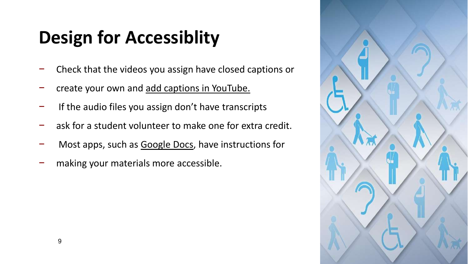# **Design for Accessiblity**

- − Check that the videos you assign have closed captions or
- − create your own and [add captions in YouTube.](https://support.google.com/youtube/answer/2734796?hl=en)
- If the audio files you assign don't have transcripts
- ask for a student volunteer to make one for extra credit.
- − Most apps, such as [Google Docs,](https://blog.tcea.org/more-accessible-google-docs/) have instructions for
- making your materials more accessible.

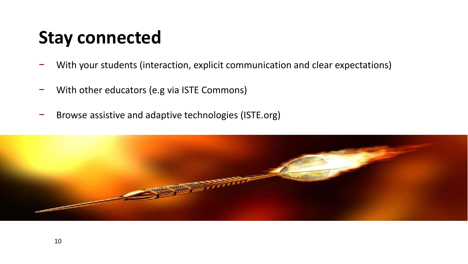#### **Stay connected**

- − With your students (interaction, explicit communication and clear expectations)
- − With other educators (e.g via ISTE Commons)
- − Browse assistive and adaptive technologies (ISTE.org)

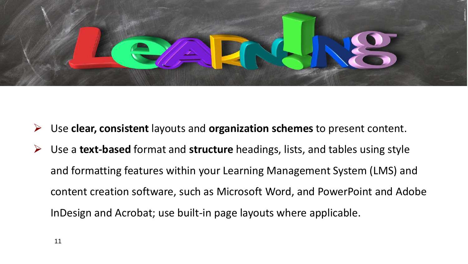

- ➢ Use **clear, consistent** layouts and **organization schemes** to present content.
- ➢ Use a **text-based** format and **structure** headings, lists, and tables using style and formatting features within your Learning Management System (LMS) and content creation software, such as Microsoft Word, and PowerPoint and Adobe InDesign and Acrobat; use built-in page layouts where applicable.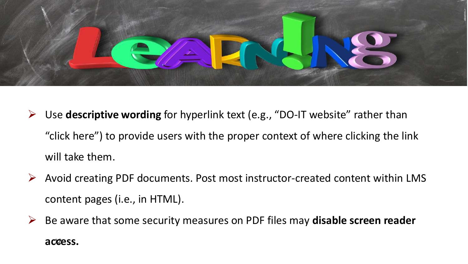

- ➢ Use **descriptive wording** for hyperlink text (e.g., "DO-IT website" rather than "click here") to provide users with the proper context of where clicking the link will take them.
- ➢ Avoid creating PDF documents. Post most instructor-created content within LMS content pages (i.e., in HTML).
- ➢ Be aware that some security measures on PDF files may **disable screen reader**  access.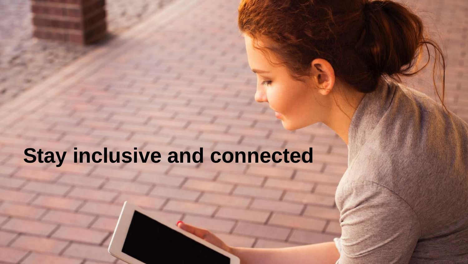### **Stay inclusive and connected**

and content and the content of the content. It is desired and the content of the content. It is desired and the

practices. <sup>13</sup>

➢ [Provide concise text descriptions of content presented within images \(text](http://uw.edu/accessibility/documents) 

➢ Use large, bold, sans serif fonts on uncluttered pages with plain backgrounds.

➢ Use color combinations that are high contrast and can be distinguished by those

 $\overline{D}$  does as ynchronous tools; use as ynchronous tools; make sure It used requires to the sure It used requires to

the use of the keyboard alone and otherwise employees and otherwise employees and otherwise employees accessible design  $\mathcal{L}$ 

**Final tips in a nutshell**